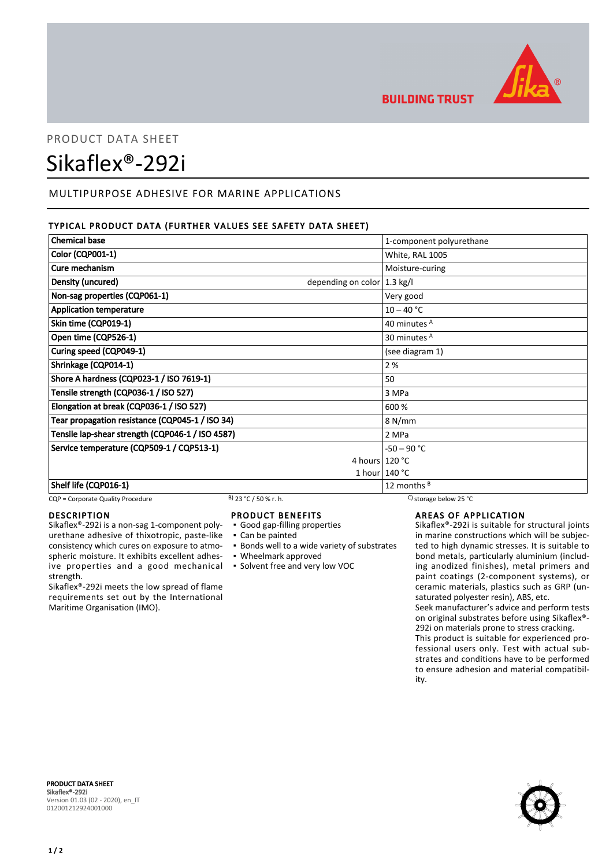

**BUILDING TRUST** 

# PRODUCT DATA SHEET Sikaflex®-292i

# MULTIPURPOSE ADHESIVE FOR MARINE APPLICATIONS

## TYPICAL PRODUCT DATA (FURTHER VALUES SEE SAFETY DATA SHEET)

| <b>Chemical base</b>                             |                                        | 1-component polyurethane         |
|--------------------------------------------------|----------------------------------------|----------------------------------|
| Color (CQP001-1)                                 |                                        | White, RAL 1005                  |
| Cure mechanism                                   |                                        | Moisture-curing                  |
| Density (uncured)                                | depending on color $ 1.3 \text{ kg}/I$ |                                  |
| Non-sag properties (CQP061-1)                    |                                        | Very good                        |
| <b>Application temperature</b>                   |                                        | $10 - 40 °C$                     |
| Skin time (CQP019-1)                             |                                        | 40 minutes A                     |
| Open time (CQP526-1)                             |                                        | 30 minutes <sup>A</sup>          |
| Curing speed (CQP049-1)                          |                                        | (see diagram 1)                  |
| Shrinkage (CQP014-1)                             |                                        | 2 %                              |
| Shore A hardness (CQP023-1 / ISO 7619-1)         |                                        | 50                               |
| Tensile strength (CQP036-1 / ISO 527)            |                                        | 3 MPa                            |
| Elongation at break (CQP036-1 / ISO 527)         |                                        | 600 %                            |
| Tear propagation resistance (CQP045-1 / ISO 34)  |                                        | 8 N/mm                           |
| Tensile lap-shear strength (CQP046-1 / ISO 4587) |                                        | 2 MPa                            |
| Service temperature (CQP509-1 / CQP513-1)        |                                        | $-50 - 90 °C$                    |
|                                                  | 4 hours 120 °C                         |                                  |
|                                                  |                                        | 1 hour $140 °C$                  |
| Shelf life (CQP016-1)                            |                                        | 12 months <sup>B</sup>           |
| CQP = Corporate Quality Procedure                | <sup>B</sup> ) 23 °C / 50 % r. h.      | C) storage below 25 $^{\circ}$ C |

#### **DESCRIPTION**

Sikaflex®-292i is a non-sag 1-component polyurethane adhesive of thixotropic, paste-like consistency which cures on exposure to atmospheric moisture. It exhibits excellent adhesive properties and a good mechanical ▪ Solvent free and very low VOC strength.

Sikaflex®-292i meets the low spread of flame requirements set out by the International Maritime Organisation (IMO).

## PRODUCT BENEFITS

- Good gap-filling properties
- Can be painted
- Bonds well to a wide variety of substrates
- Wheelmark approved
- 

# AREAS OF APPLICATION

Sikaflex®-292i is suitable for structural joints in marine constructions which will be subjected to high dynamic stresses. It is suitable to bond metals, particularly aluminium (including anodized finishes), metal primers and paint coatings (2-component systems), or ceramic materials, plastics such as GRP (unsaturated polyester resin), ABS, etc.

Seek manufacturer's advice and perform tests on original substrates before using Sikaflex®- 292i on materials prone to stress cracking.

This product is suitable for experienced professional users only. Test with actual substrates and conditions have to be performed to ensure adhesion and material compatibility.



PRODUCT DATA SHEET Sikaflex®-292i Version 01.03 (02 - 2020), en\_IT 012001212924001000